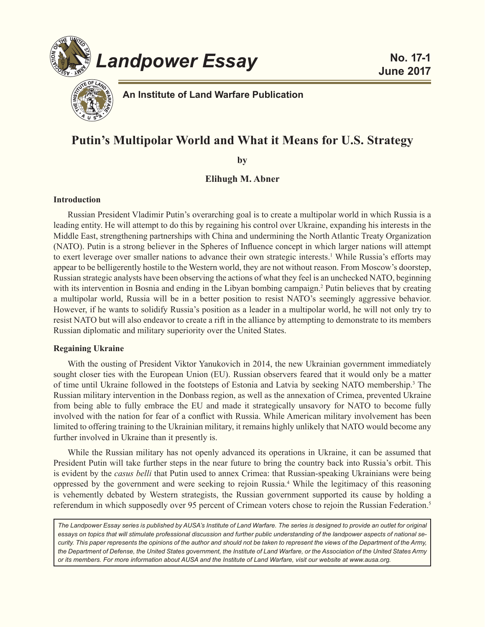



**An Institute of Land Warfare Publication**

# **Putin's Multipolar World and What it Means for U.S. Strategy**

**by**

**Elihugh M. Abner**

# **Introduction**

Russian President Vladimir Putin's overarching goal is to create a multipolar world in which Russia is a leading entity. He will attempt to do this by regaining his control over Ukraine, expanding his interests in the Middle East, strengthening partnerships with China and undermining the North Atlantic Treaty Organization (NATO). Putin is a strong believer in the Spheres of Influence concept in which larger nations will attempt to exert leverage over smaller nations to advance their own strategic interests.<sup>1</sup> While Russia's efforts may appear to be belligerently hostile to the Western world, they are not without reason. From Moscow's doorstep, Russian strategic analysts have been observing the actions of what they feel is an unchecked NATO, beginning with its intervention in Bosnia and ending in the Libyan bombing campaign.<sup>2</sup> Putin believes that by creating a multipolar world, Russia will be in a better position to resist NATO's seemingly aggressive behavior. However, if he wants to solidify Russia's position as a leader in a multipolar world, he will not only try to resist NATO but will also endeavor to create a rift in the alliance by attempting to demonstrate to its members Russian diplomatic and military superiority over the United States.

# **Regaining Ukraine**

With the ousting of President Viktor Yanukovich in 2014, the new Ukrainian government immediately sought closer ties with the European Union (EU). Russian observers feared that it would only be a matter of time until Ukraine followed in the footsteps of Estonia and Latvia by seeking NATO membership.<sup>3</sup> The Russian military intervention in the Donbass region, as well as the annexation of Crimea, prevented Ukraine from being able to fully embrace the EU and made it strategically unsavory for NATO to become fully involved with the nation for fear of a conflict with Russia. While American military involvement has been limited to offering training to the Ukrainian military, it remains highly unlikely that NATO would become any further involved in Ukraine than it presently is.

While the Russian military has not openly advanced its operations in Ukraine, it can be assumed that President Putin will take further steps in the near future to bring the country back into Russia's orbit. This is evident by the *casus belli* that Putin used to annex Crimea: that Russian-speaking Ukrainians were being oppressed by the government and were seeking to rejoin Russia.<sup>4</sup> While the legitimacy of this reasoning is vehemently debated by Western strategists, the Russian government supported its cause by holding a referendum in which supposedly over 95 percent of Crimean voters chose to rejoin the Russian Federation.<sup>5</sup>

*The Landpower Essay series is published by AUSA's Institute of Land Warfare. The series is designed to provide an outlet for original essays on topics that will stimulate professional discussion and further public understanding of the landpower aspects of national security. This paper represents the opinions of the author and should not be taken to represent the views of the Department of the Army, the Department of Defense, the United States government, the Institute of Land Warfare, or the Association of the United States Army or its members. For more information about AUSA and the Institute of Land Warfare, visit our website at www.ausa.org.*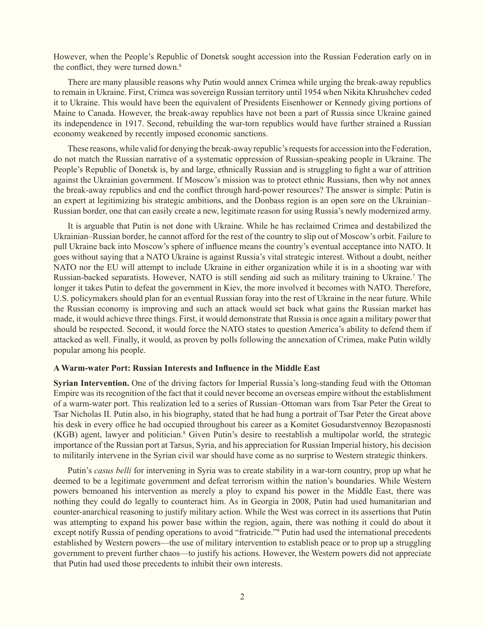However, when the People's Republic of Donetsk sought accession into the Russian Federation early on in the conflict, they were turned down.<sup>6</sup>

There are many plausible reasons why Putin would annex Crimea while urging the break-away republics to remain in Ukraine. First, Crimea was sovereign Russian territory until 1954 when Nikita Khrushchev ceded it to Ukraine. This would have been the equivalent of Presidents Eisenhower or Kennedy giving portions of Maine to Canada. However, the break-away republics have not been a part of Russia since Ukraine gained its independence in 1917. Second, rebuilding the war-torn republics would have further strained a Russian economy weakened by recently imposed economic sanctions.

These reasons, while valid for denying the break-away republic's requests for accession into the Federation, do not match the Russian narrative of a systematic oppression of Russian-speaking people in Ukraine. The People's Republic of Donetsk is, by and large, ethnically Russian and is struggling to fight a war of attrition against the Ukrainian government. If Moscow's mission was to protect ethnic Russians, then why not annex the break-away republics and end the conflict through hard-power resources? The answer is simple: Putin is an expert at legitimizing his strategic ambitions, and the Donbass region is an open sore on the Ukrainian– Russian border, one that can easily create a new, legitimate reason for using Russia's newly modernized army.

It is arguable that Putin is not done with Ukraine. While he has reclaimed Crimea and destabilized the Ukrainian–Russian border, he cannot afford for the rest of the country to slip out of Moscow's orbit. Failure to pull Ukraine back into Moscow's sphere of influence means the country's eventual acceptance into NATO. It goes without saying that a NATO Ukraine is against Russia's vital strategic interest. Without a doubt, neither NATO nor the EU will attempt to include Ukraine in either organization while it is in a shooting war with Russian-backed separatists. However, NATO is still sending aid such as military training to Ukraine.<sup>7</sup> The longer it takes Putin to defeat the government in Kiev, the more involved it becomes with NATO. Therefore, U.S. policymakers should plan for an eventual Russian foray into the rest of Ukraine in the near future. While the Russian economy is improving and such an attack would set back what gains the Russian market has made, it would achieve three things. First, it would demonstrate that Russia is once again a military power that should be respected. Second, it would force the NATO states to question America's ability to defend them if attacked as well. Finally, it would, as proven by polls following the annexation of Crimea, make Putin wildly popular among his people.

# **A Warm-water Port: Russian Interests and Influence in the Middle East**

**Syrian Intervention.** One of the driving factors for Imperial Russia's long-standing feud with the Ottoman Empire was its recognition of the fact that it could never become an overseas empire without the establishment of a warm-water port. This realization led to a series of Russian–Ottoman wars from Tsar Peter the Great to Tsar Nicholas II. Putin also, in his biography, stated that he had hung a portrait of Tsar Peter the Great above his desk in every office he had occupied throughout his career as a Komitet Gosudarstvennoy Bezopasnosti (KGB) agent, lawyer and politician.<sup>8</sup> Given Putin's desire to reestablish a multipolar world, the strategic importance of the Russian port at Tarsus, Syria, and his appreciation for Russian Imperial history, his decision to militarily intervene in the Syrian civil war should have come as no surprise to Western strategic thinkers.

Putin's *casus belli* for intervening in Syria was to create stability in a war-torn country, prop up what he deemed to be a legitimate government and defeat terrorism within the nation's boundaries. While Western powers bemoaned his intervention as merely a ploy to expand his power in the Middle East, there was nothing they could do legally to counteract him. As in Georgia in 2008, Putin had used humanitarian and counter-anarchical reasoning to justify military action. While the West was correct in its assertions that Putin was attempting to expand his power base within the region, again, there was nothing it could do about it except notify Russia of pending operations to avoid "fratricide."<sup>9</sup> Putin had used the international precedents established by Western powers—the use of military intervention to establish peace or to prop up a struggling government to prevent further chaos—to justify his actions. However, the Western powers did not appreciate that Putin had used those precedents to inhibit their own interests.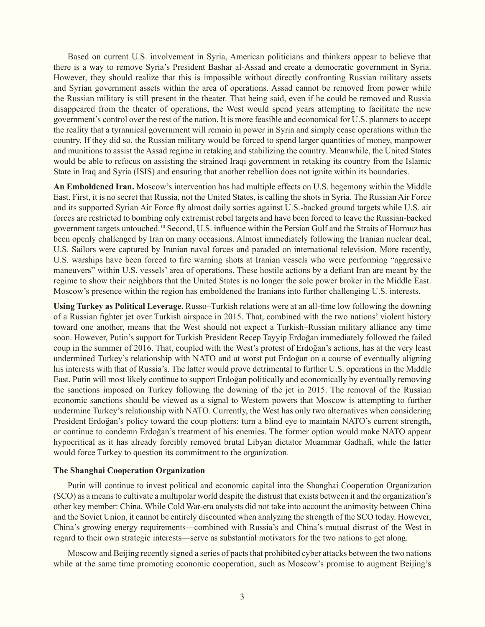Based on current U.S. involvement in Syria, American politicians and thinkers appear to believe that there is a way to remove Syria's President Bashar al-Assad and create a democratic government in Syria. However, they should realize that this is impossible without directly confronting Russian military assets and Syrian government assets within the area of operations. Assad cannot be removed from power while the Russian military is still present in the theater. That being said, even if he could be removed and Russia disappeared from the theater of operations, the West would spend years attempting to facilitate the new government's control over the rest of the nation. It is more feasible and economical for U.S. planners to accept the reality that a tyrannical government will remain in power in Syria and simply cease operations within the country. If they did so, the Russian military would be forced to spend larger quantities of money, manpower and munitions to assist the Assad regime in retaking and stabilizing the country. Meanwhile, the United States would be able to refocus on assisting the strained Iraqi government in retaking its country from the Islamic State in Iraq and Syria (ISIS) and ensuring that another rebellion does not ignite within its boundaries.

**An Emboldened Iran.** Moscow's intervention has had multiple effects on U.S. hegemony within the Middle East. First, it is no secret that Russia, not the United States, is calling the shots in Syria. The Russian Air Force and its supported Syrian Air Force fly almost daily sorties against U.S.-backed ground targets while U.S. air forces are restricted to bombing only extremist rebel targets and have been forced to leave the Russian-backed government targets untouched.10 Second, U.S. influence within the Persian Gulf and the Straits of Hormuz has been openly challenged by Iran on many occasions. Almost immediately following the Iranian nuclear deal, U.S. Sailors were captured by Iranian naval forces and paraded on international television. More recently, U.S. warships have been forced to fire warning shots at Iranian vessels who were performing "aggressive maneuvers" within U.S. vessels' area of operations. These hostile actions by a defiant Iran are meant by the regime to show their neighbors that the United States is no longer the sole power broker in the Middle East. Moscow's presence within the region has emboldened the Iranians into further challenging U.S. interests.

**Using Turkey as Political Leverage.** Russo–Turkish relations were at an all-time low following the downing of a Russian fighter jet over Turkish airspace in 2015. That, combined with the two nations' violent history toward one another, means that the West should not expect a Turkish–Russian military alliance any time soon. However, Putin's support for Turkish President Recep Tayyip Erdoğan immediately followed the failed coup in the summer of 2016. That, coupled with the West's protest of Erdoğan's actions, has at the very least undermined Turkey's relationship with NATO and at worst put Erdoğan on a course of eventually aligning his interests with that of Russia's. The latter would prove detrimental to further U.S. operations in the Middle East. Putin will most likely continue to support Erdoğan politically and economically by eventually removing the sanctions imposed on Turkey following the downing of the jet in 2015. The removal of the Russian economic sanctions should be viewed as a signal to Western powers that Moscow is attempting to further undermine Turkey's relationship with NATO. Currently, the West has only two alternatives when considering President Erdoğan's policy toward the coup plotters: turn a blind eye to maintain NATO's current strength, or continue to condemn Erdoğan's treatment of his enemies. The former option would make NATO appear hypocritical as it has already forcibly removed brutal Libyan dictator Muammar Gadhafi, while the latter would force Turkey to question its commitment to the organization.

# **The Shanghai Cooperation Organization**

Putin will continue to invest political and economic capital into the Shanghai Cooperation Organization (SCO) as a means to cultivate a multipolar world despite the distrust that exists between it and the organization's other key member: China. While Cold War-era analysts did not take into account the animosity between China and the Soviet Union, it cannot be entirely discounted when analyzing the strength of the SCO today. However, China's growing energy requirements—combined with Russia's and China's mutual distrust of the West in regard to their own strategic interests—serve as substantial motivators for the two nations to get along.

Moscow and Beijing recently signed a series of pacts that prohibited cyber attacks between the two nations while at the same time promoting economic cooperation, such as Moscow's promise to augment Beijing's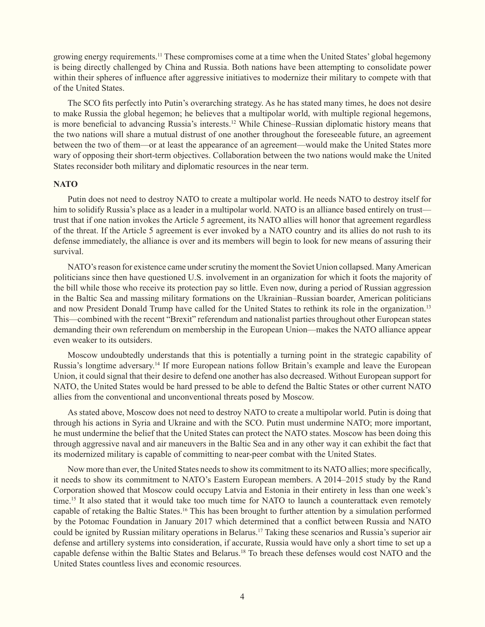growing energy requirements.11 These compromises come at a time when the United States' global hegemony is being directly challenged by China and Russia. Both nations have been attempting to consolidate power within their spheres of influence after aggressive initiatives to modernize their military to compete with that of the United States.

The SCO fits perfectly into Putin's overarching strategy. As he has stated many times, he does not desire to make Russia the global hegemon; he believes that a multipolar world, with multiple regional hegemons, is more beneficial to advancing Russia's interests.<sup>12</sup> While Chinese–Russian diplomatic history means that the two nations will share a mutual distrust of one another throughout the foreseeable future, an agreement between the two of them—or at least the appearance of an agreement—would make the United States more wary of opposing their short-term objectives. Collaboration between the two nations would make the United States reconsider both military and diplomatic resources in the near term.

# **NATO**

Putin does not need to destroy NATO to create a multipolar world. He needs NATO to destroy itself for him to solidify Russia's place as a leader in a multipolar world. NATO is an alliance based entirely on trust trust that if one nation invokes the Article 5 agreement, its NATO allies will honor that agreement regardless of the threat. If the Article 5 agreement is ever invoked by a NATO country and its allies do not rush to its defense immediately, the alliance is over and its members will begin to look for new means of assuring their survival.

NATO's reason for existence came under scrutiny the moment the Soviet Union collapsed. Many American politicians since then have questioned U.S. involvement in an organization for which it foots the majority of the bill while those who receive its protection pay so little. Even now, during a period of Russian aggression in the Baltic Sea and massing military formations on the Ukrainian–Russian boarder, American politicians and now President Donald Trump have called for the United States to rethink its role in the organization.13 This—combined with the recent "Brexit" referendum and nationalist parties throughout other European states demanding their own referendum on membership in the European Union—makes the NATO alliance appear even weaker to its outsiders.

Moscow undoubtedly understands that this is potentially a turning point in the strategic capability of Russia's longtime adversary.14 If more European nations follow Britain's example and leave the European Union, it could signal that their desire to defend one another has also decreased. Without European support for NATO, the United States would be hard pressed to be able to defend the Baltic States or other current NATO allies from the conventional and unconventional threats posed by Moscow.

As stated above, Moscow does not need to destroy NATO to create a multipolar world. Putin is doing that through his actions in Syria and Ukraine and with the SCO. Putin must undermine NATO; more important, he must undermine the belief that the United States can protect the NATO states. Moscow has been doing this through aggressive naval and air maneuvers in the Baltic Sea and in any other way it can exhibit the fact that its modernized military is capable of committing to near-peer combat with the United States.

Now more than ever, the United States needs to show its commitment to its NATO allies; more specifically, it needs to show its commitment to NATO's Eastern European members. A 2014–2015 study by the Rand Corporation showed that Moscow could occupy Latvia and Estonia in their entirety in less than one week's time.<sup>15</sup> It also stated that it would take too much time for NATO to launch a counterattack even remotely capable of retaking the Baltic States.16 This has been brought to further attention by a simulation performed by the Potomac Foundation in January 2017 which determined that a conflict between Russia and NATO could be ignited by Russian military operations in Belarus.17 Taking these scenarios and Russia's superior air defense and artillery systems into consideration, if accurate, Russia would have only a short time to set up a capable defense within the Baltic States and Belarus.<sup>18</sup> To breach these defenses would cost NATO and the United States countless lives and economic resources.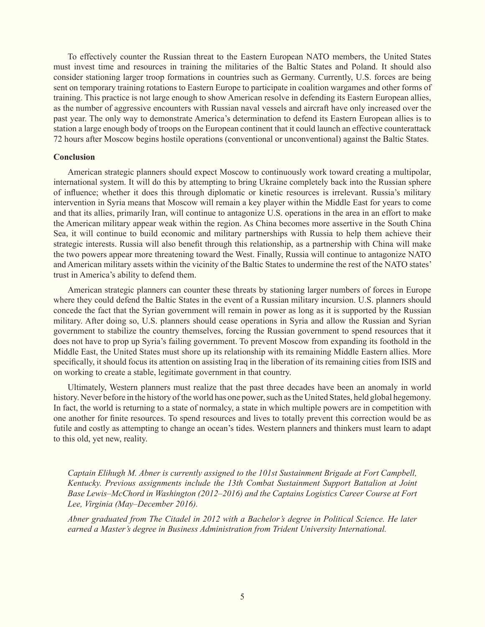To effectively counter the Russian threat to the Eastern European NATO members, the United States must invest time and resources in training the militaries of the Baltic States and Poland. It should also consider stationing larger troop formations in countries such as Germany. Currently, U.S. forces are being sent on temporary training rotations to Eastern Europe to participate in coalition wargames and other forms of training. This practice is not large enough to show American resolve in defending its Eastern European allies, as the number of aggressive encounters with Russian naval vessels and aircraft have only increased over the past year. The only way to demonstrate America's determination to defend its Eastern European allies is to station a large enough body of troops on the European continent that it could launch an effective counterattack 72 hours after Moscow begins hostile operations (conventional or unconventional) against the Baltic States.

#### **Conclusion**

American strategic planners should expect Moscow to continuously work toward creating a multipolar, international system. It will do this by attempting to bring Ukraine completely back into the Russian sphere of influence; whether it does this through diplomatic or kinetic resources is irrelevant. Russia's military intervention in Syria means that Moscow will remain a key player within the Middle East for years to come and that its allies, primarily Iran, will continue to antagonize U.S. operations in the area in an effort to make the American military appear weak within the region. As China becomes more assertive in the South China Sea, it will continue to build economic and military partnerships with Russia to help them achieve their strategic interests. Russia will also benefit through this relationship, as a partnership with China will make the two powers appear more threatening toward the West. Finally, Russia will continue to antagonize NATO and American military assets within the vicinity of the Baltic States to undermine the rest of the NATO states' trust in America's ability to defend them.

American strategic planners can counter these threats by stationing larger numbers of forces in Europe where they could defend the Baltic States in the event of a Russian military incursion. U.S. planners should concede the fact that the Syrian government will remain in power as long as it is supported by the Russian military. After doing so, U.S. planners should cease operations in Syria and allow the Russian and Syrian government to stabilize the country themselves, forcing the Russian government to spend resources that it does not have to prop up Syria's failing government. To prevent Moscow from expanding its foothold in the Middle East, the United States must shore up its relationship with its remaining Middle Eastern allies. More specifically, it should focus its attention on assisting Iraq in the liberation of its remaining cities from ISIS and on working to create a stable, legitimate government in that country.

Ultimately, Western planners must realize that the past three decades have been an anomaly in world history. Never before in the history of the world has one power, such as the United States, held global hegemony. In fact, the world is returning to a state of normalcy, a state in which multiple powers are in competition with one another for finite resources. To spend resources and lives to totally prevent this correction would be as futile and costly as attempting to change an ocean's tides. Western planners and thinkers must learn to adapt to this old, yet new, reality.

*Captain Elihugh M. Abner is currently assigned to the 101st Sustainment Brigade at Fort Campbell, Kentucky. Previous assignments include the 13th Combat Sustainment Support Battalion at Joint Base Lewis–McChord in Washington (2012–2016) and the Captains Logistics Career Course at Fort Lee, Virginia (May–December 2016).*

*Abner graduated from The Citadel in 2012 with a Bachelor's degree in Political Science. He later earned a Master's degree in Business Administration from Trident University International.*